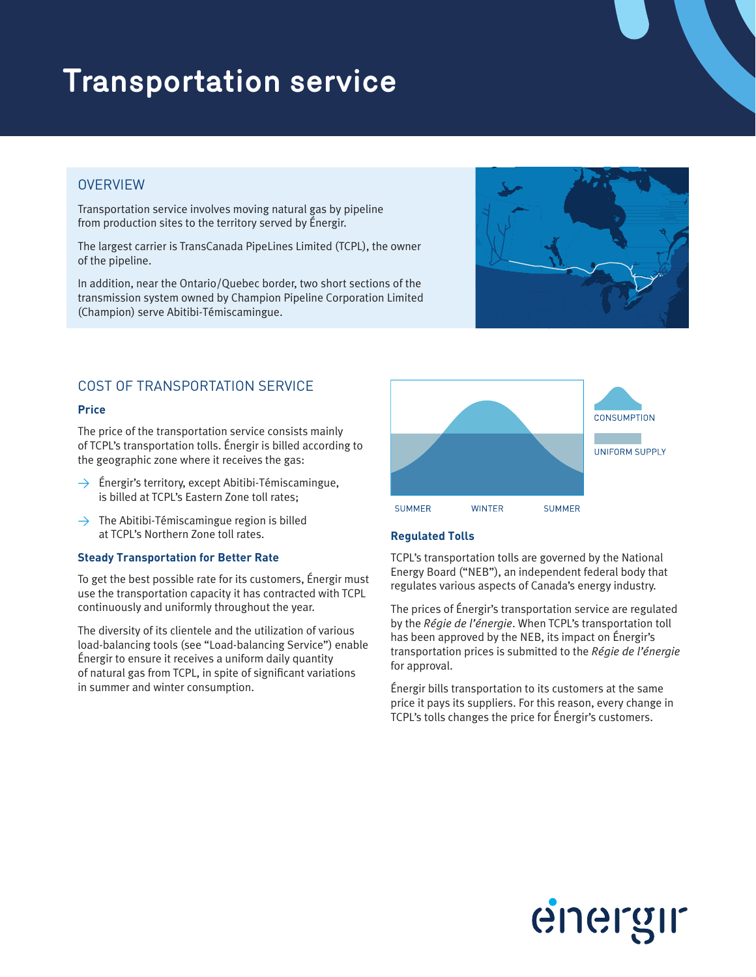# **Transportation service**

# **OVERVIEW**

Transportation service involves moving natural gas by pipeline from production sites to the territory served by Énergir.

The largest carrier is TransCanada PipeLines Limited (TCPL), the owner of the pipeline.

In addition, near the Ontario/Quebec border, two short sections of the transmission system owned by Champion Pipeline Corporation Limited (Champion) serve Abitibi-Témiscamingue.



# COST OF TRANSPORTATION SERVICE

#### **Price**

The price of the transportation service consists mainly of TCPL's transportation tolls. Énergir is billed according to the geographic zone where it receives the gas:

- $\rightarrow$  Énergir's territory, except Abitibi-Témiscamingue, is billed at TCPL's Eastern Zone toll rates;
- $\rightarrow$  The Abitibi-Témiscamingue region is billed at TCPL's Northern Zone toll rates.

#### **Steady Transportation for Better Rate**

To get the best possible rate for its customers, Énergir must use the transportation capacity it has contracted with TCPL continuously and uniformly throughout the year.

The diversity of its clientele and the utilization of various load-balancing tools (see "Load-balancing Service") enable Énergir to ensure it receives a uniform daily quantity of natural gas from TCPL, in spite of significant variations in summer and winter consumption.



## **Regulated Tolls**

TCPL's transportation tolls are governed by the National Energy Board ("NEB"), an independent federal body that regulates various aspects of Canada's energy industry.

The prices of Énergir's transportation service are regulated by the *Régie de l'énergie*. When TCPL's transportation toll has been approved by the NEB, its impact on Énergir's transportation prices is submitted to the *Régie de l'énergie* for approval.

Énergir bills transportation to its customers at the same price it pays its suppliers. For this reason, every change in TCPL's tolls changes the price for Énergir's customers.